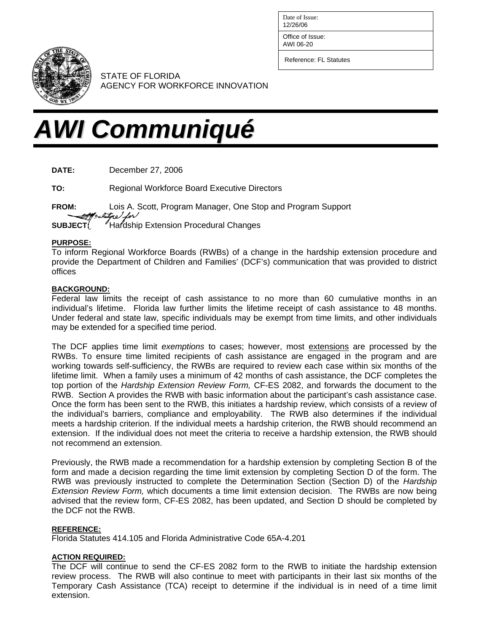Date of Issue: 12/26/06

Office of Issue:

AWI 06-20

Reference: FL Statutes



STATE OF FLORIDA AGENCY FOR WORKFORCE INNOVATION

# *AWI Communiqué*

**DATE:** December 27, 2006

**TO:** Regional Workforce Board Executive Directors

**FROM:** Lois A. Scott, Program Manager, One Stop and Program Support  $\sqrt{\phantom{a}}$ **SUBJECT** <sup>*I*Hardship Extension Procedural Changes</sup>

#### **PURPOSE:**

To inform Regional Workforce Boards (RWBs) of a change in the hardship extension procedure and provide the Department of Children and Families' (DCF's) communication that was provided to district offices

### **BACKGROUND:**

Federal law limits the receipt of cash assistance to no more than 60 cumulative months in an individual's lifetime. Florida law further limits the lifetime receipt of cash assistance to 48 months. Under federal and state law, specific individuals may be exempt from time limits, and other individuals may be extended for a specified time period.

The DCF applies time limit *exemptions* to cases; however, most extensions are processed by the RWBs. To ensure time limited recipients of cash assistance are engaged in the program and are working towards self-sufficiency, the RWBs are required to review each case within six months of the lifetime limit. When a family uses a minimum of 42 months of cash assistance, the DCF completes the top portion of the *Hardship Extension Review Form,* CF-ES 2082, and forwards the document to the RWB. Section A provides the RWB with basic information about the participant's cash assistance case. Once the form has been sent to the RWB, this initiates a hardship review, which consists of a review of the individual's barriers, compliance and employability. The RWB also determines if the individual meets a hardship criterion. If the individual meets a hardship criterion, the RWB should recommend an extension. If the individual does not meet the criteria to receive a hardship extension, the RWB should not recommend an extension.

Previously, the RWB made a recommendation for a hardship extension by completing Section B of the form and made a decision regarding the time limit extension by completing Section D of the form. The RWB was previously instructed to complete the Determination Section (Section D) of the *Hardship Extension Review Form,* which documents a time limit extension decision. The RWBs are now being advised that the review form, CF-ES 2082, has been updated, and Section D should be completed by the DCF not the RWB.

#### **REFERENCE:**

Florida Statutes 414.105 and Florida Administrative Code 65A-4.201

## **ACTION REQUIRED:**

The DCF will continue to send the CF-ES 2082 form to the RWB to initiate the hardship extension review process. The RWB will also continue to meet with participants in their last six months of the Temporary Cash Assistance (TCA) receipt to determine if the individual is in need of a time limit extension.